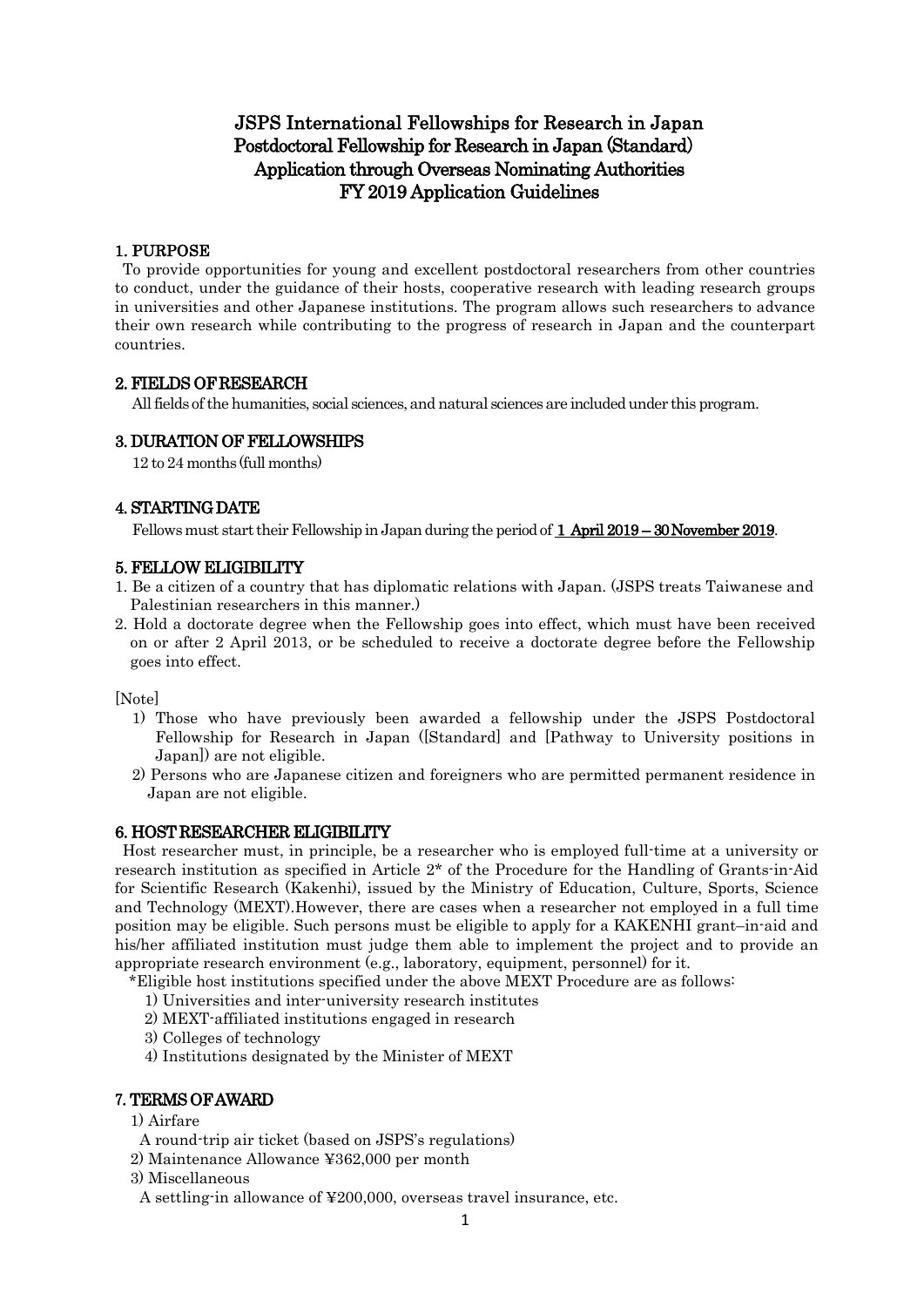# JSPS International Fellowships for Research in Japan Postdoctoral Fellowship for Research in Japan (Standard) Application through Overseas Nominating Authorities FY 2019 Application Guidelines

### 1. PURPOSE

To provide opportunities for young and excellent postdoctoral researchers from other countries to conduct, under the guidance of their hosts, cooperative research with leading research groups in universities and other Japanese institutions. The program allows such researchers to advance their own research while contributing to the progress of research in Japan and the counterpart countries.

# 2. FIELDS OF RESEARCH

All fields of the humanities, social sciences, and natural sciences are included under this program.

# 3. DURATION OF FELLOWSHIPS

12 to 24 months (full months)

# 4. STARTING DATE

Fellows must start their Fellowship in Japan during the period of 1 April 2019 – 30 November 2019.

### 5. FELLOW ELIGIBILITY

- 1. Be a citizen of a country that has diplomatic relations with Japan. (JSPS treats Taiwanese and Palestinian researchers in this manner.)
- 2. Hold a doctorate degree when the Fellowship goes into effect, which must have been received on or after 2 April 2013, or be scheduled to receive a doctorate degree before the Fellowship goes into effect.

[Note]

- 1) Those who have previously been awarded a fellowship under the JSPS Postdoctoral Fellowship for Research in Japan ([Standard] and [Pathway to University positions in Japan]) are not eligible.
- 2) Persons who are Japanese citizen and foreigners who are permitted permanent residence in Japan are not eligible.

### 6. HOST RESEARCHER ELIGIBILITY

Host researcher must, in principle, be a researcher who is employed full-time at a university or research institution as specified in Article 2\* of the Procedure for the Handling of Grants-in-Aid for Scientific Research (Kakenhi), issued by the Ministry of Education, Culture, Sports, Science and Technology (MEXT).However, there are cases when a researcher not employed in a full time position may be eligible. Such persons must be eligible to apply for a KAKENHI grant–in-aid and his/her affiliated institution must judge them able to implement the project and to provide an appropriate research environment (e.g., laboratory, equipment, personnel) for it.

\*Eligible host institutions specified under the above MEXT Procedure are as follows:

- 1) Universities and inter-university research institutes
- 2) MEXT-affiliated institutions engaged in research
- 3) Colleges of technology
- 4) Institutions designated by the Minister of MEXT

### 7.TERMS OF AWARD

- 1) Airfare
- A round-trip air ticket (based on JSPS's regulations)
- 2) Maintenance Allowance ¥362,000 per month
- 3) Miscellaneous
- A settling-in allowance of ¥200,000, overseas travel insurance, etc.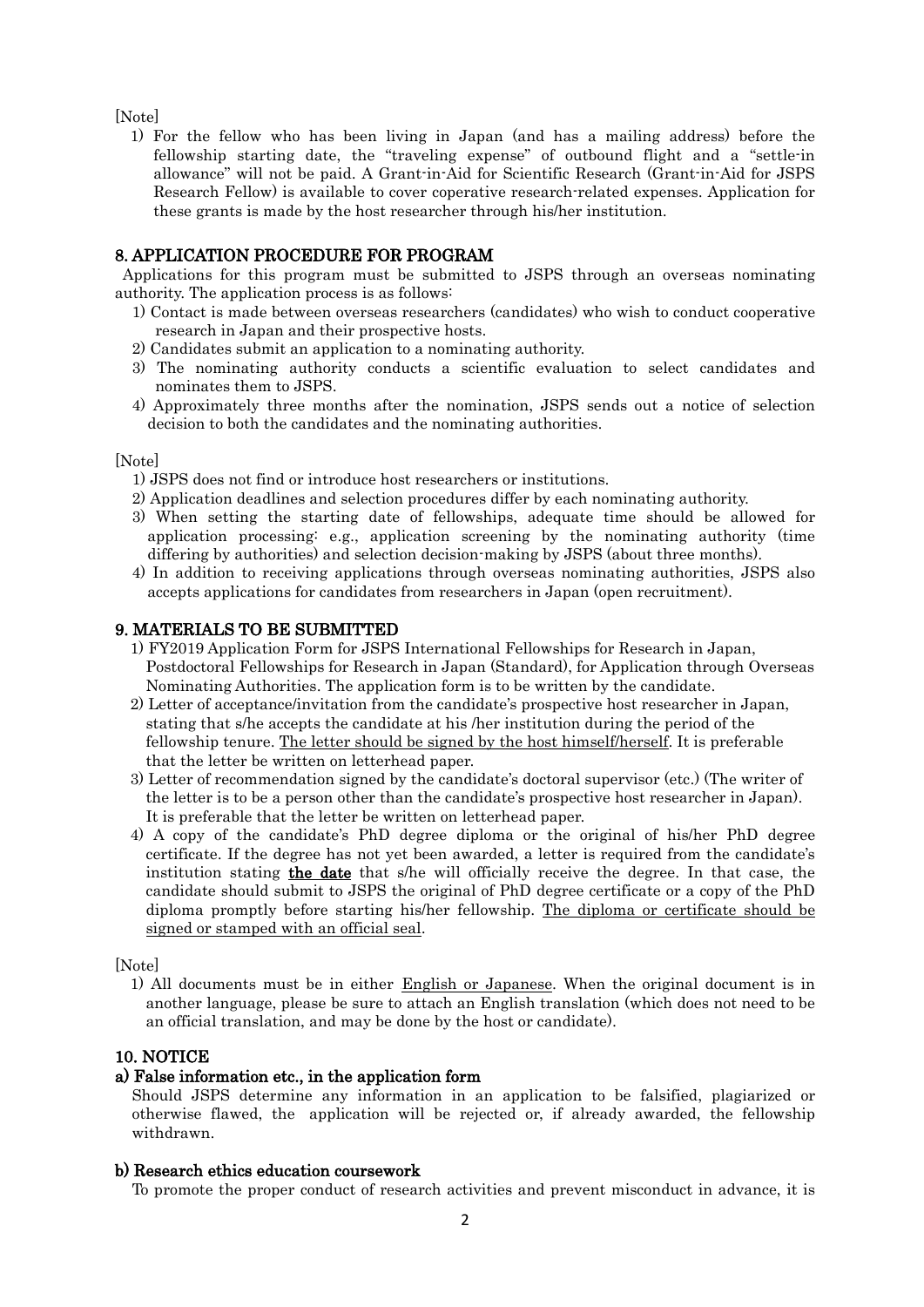[Note]

1) For the fellow who has been living in Japan (and has a mailing address) before the fellowship starting date, the "traveling expense" of outbound flight and a "settle-in allowance" will not be paid. A Grant-in-Aid for Scientific Research (Grant-in-Aid for JSPS Research Fellow) is available to cover coperative research-related expenses. Application for these grants is made by the host researcher through his/her institution.

# 8. APPLICATION PROCEDURE FOR PROGRAM

Applications for this program must be submitted to JSPS through an overseas nominating authority. The application process is as follows:

- 1) Contact is made between overseas researchers (candidates) who wish to conduct cooperative research in Japan and their prospective hosts.
- 2) Candidates submit an application to a nominating authority.
- 3) The nominating authority conducts a scientific evaluation to select candidates and nominates them to JSPS.
- 4) Approximately three months after the nomination, JSPS sends out a notice of selection decision to both the candidates and the nominating authorities.

[Note]

- 1) JSPS does not find or introduce host researchers or institutions.
- 2) Application deadlines and selection procedures differ by each nominating authority.
- 3) When setting the starting date of fellowships, adequate time should be allowed for application processing: e.g., application screening by the nominating authority (time differing by authorities) and selection decision-making by JSPS (about three months).
- 4) In addition to receiving applications through overseas nominating authorities, JSPS also accepts applications for candidates from researchers in Japan (open recruitment).

### 9. MATERIALS TO BE SUBMITTED

- 1) FY2019 Application Form for JSPS International Fellowships for Research in Japan, Postdoctoral Fellowships for Research in Japan (Standard), for Application through Overseas Nominating Authorities. The application form is to be written by the candidate.
- 2) Letter of acceptance/invitation from the candidate's prospective host researcher in Japan, stating that s/he accepts the candidate at his /her institution during the period of the fellowship tenure. The letter should be signed by the host himself/herself. It is preferable that the letter be written on letterhead paper.
- 3) Letter of recommendation signed by the candidate's doctoral supervisor (etc.) (The writer of the letter is to be a person other than the candidate's prospective host researcher in Japan). It is preferable that the letter be written on letterhead paper.
- 4) A copy of the candidate's PhD degree diploma or the original of his/her PhD degree certificate. If the degree has not yet been awarded, a letter is required from the candidate's institution stating the date that s/he will officially receive the degree. In that case, the candidate should submit to JSPS the original of PhD degree certificate or a copy of the PhD diploma promptly before starting his/her fellowship. The diploma or certificate should be signed or stamped with an official seal.

[Note]

1) All documents must be in either English or Japanese. When the original document is in another language, please be sure to attach an English translation (which does not need to be an official translation, and may be done by the host or candidate).

### 10. NOTICE

### a) False information etc., in the application form

Should JSPS determine any information in an application to be falsified, plagiarized or otherwise flawed, the application will be rejected or, if already awarded, the fellowship withdrawn.

### b) Research ethics education coursework

To promote the proper conduct of research activities and prevent misconduct in advance, it is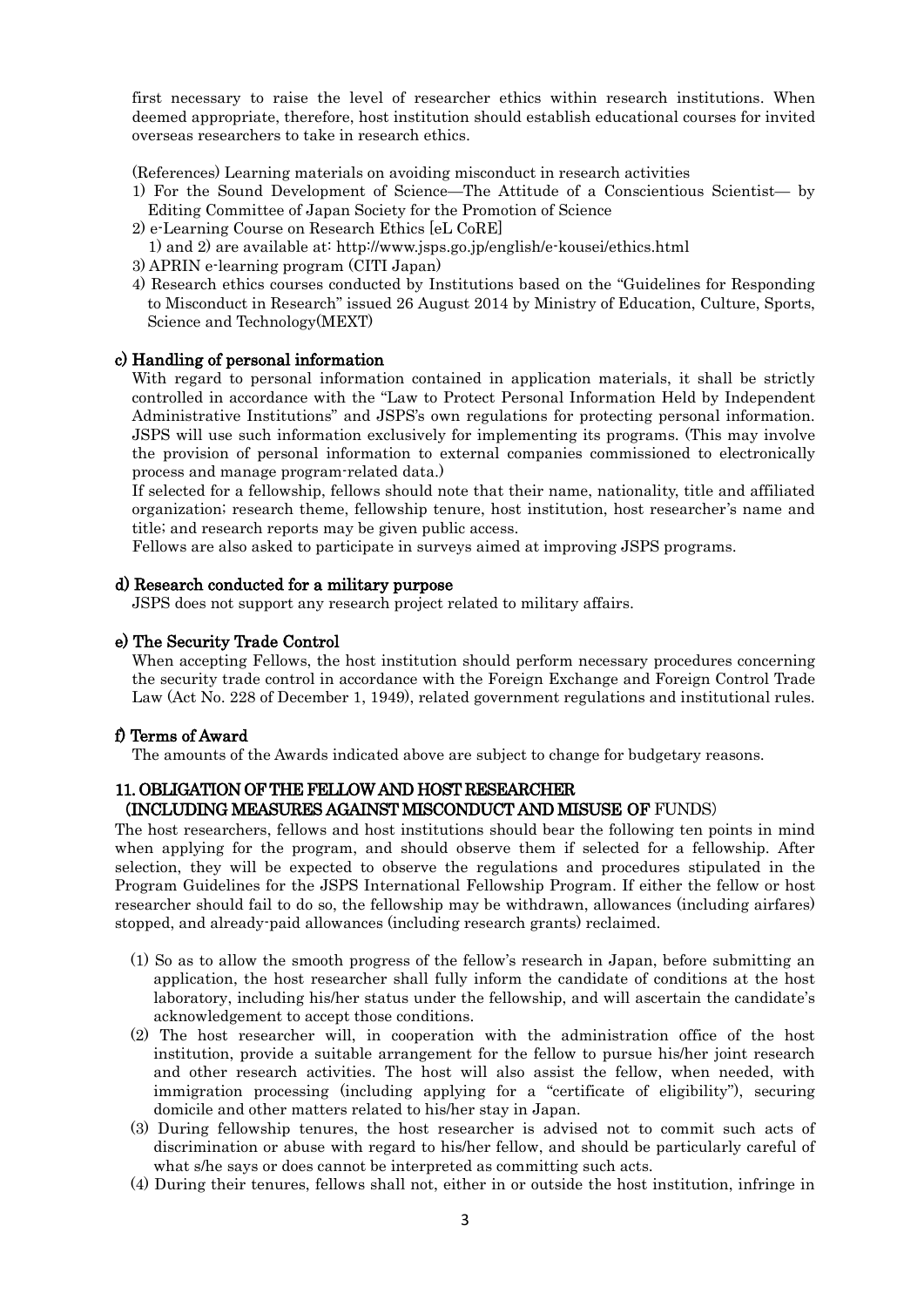first necessary to raise the level of researcher ethics within research institutions. When deemed appropriate, therefore, host institution should establish educational courses for invited overseas researchers to take in research ethics.

(References) Learning materials on avoiding misconduct in research activities

- 1) For the Sound Development of Science—The Attitude of a Conscientious Scientist— by Editing Committee of Japan Society for the Promotion of Science
- 2) e-Learning Course on Research Ethics [eL CoRE]
- 1) and 2) are available at: http://www.jsps.go.jp/english/e-kousei/ethics.html
- 3) APRIN e-learning program (CITI Japan)
- 4) Research ethics courses conducted by Institutions based on the "Guidelines for Responding to Misconduct in Research" issued 26 August 2014 by Ministry of Education, Culture, Sports, Science and Technology(MEXT)

#### c) Handling of personal information

With regard to personal information contained in application materials, it shall be strictly controlled in accordance with the "Law to Protect Personal Information Held by Independent Administrative Institutions" and JSPS's own regulations for protecting personal information. JSPS will use such information exclusively for implementing its programs. (This may involve the provision of personal information to external companies commissioned to electronically process and manage program-related data.)

If selected for a fellowship, fellows should note that their name, nationality, title and affiliated organization; research theme, fellowship tenure, host institution, host researcher's name and title; and research reports may be given public access.

Fellows are also asked to participate in surveys aimed at improving JSPS programs.

### d) Research conducted for a military purpose

JSPS does not support any research project related to military affairs.

#### e) The Security Trade Control

When accepting Fellows, the host institution should perform necessary procedures concerning the security trade control in accordance with the Foreign Exchange and Foreign Control Trade Law (Act No. 228 of December 1, 1949), related government regulations and institutional rules.

### f) Terms of Award

The amounts of the Awards indicated above are subject to change for budgetary reasons.

### 11. OBLIGATION OF THE FELLOW AND HOST RESEARCHER (INCLUDING MEASURES AGAINST MISCONDUCT AND MISUSE OF FUNDS)

The host researchers, fellows and host institutions should bear the following ten points in mind when applying for the program, and should observe them if selected for a fellowship. After selection, they will be expected to observe the regulations and procedures stipulated in the Program Guidelines for the JSPS International Fellowship Program. If either the fellow or host researcher should fail to do so, the fellowship may be withdrawn, allowances (including airfares) stopped, and already-paid allowances (including research grants) reclaimed.

- (1) So as to allow the smooth progress of the fellow's research in Japan, before submitting an application, the host researcher shall fully inform the candidate of conditions at the host laboratory, including his/her status under the fellowship, and will ascertain the candidate's acknowledgement to accept those conditions.
- (2) The host researcher will, in cooperation with the administration office of the host institution, provide a suitable arrangement for the fellow to pursue his/her joint research and other research activities. The host will also assist the fellow, when needed, with immigration processing (including applying for a "certificate of eligibility"), securing domicile and other matters related to his/her stay in Japan.
- (3) During fellowship tenures, the host researcher is advised not to commit such acts of discrimination or abuse with regard to his/her fellow, and should be particularly careful of what s/he says or does cannot be interpreted as committing such acts.
- (4) During their tenures, fellows shall not, either in or outside the host institution, infringe in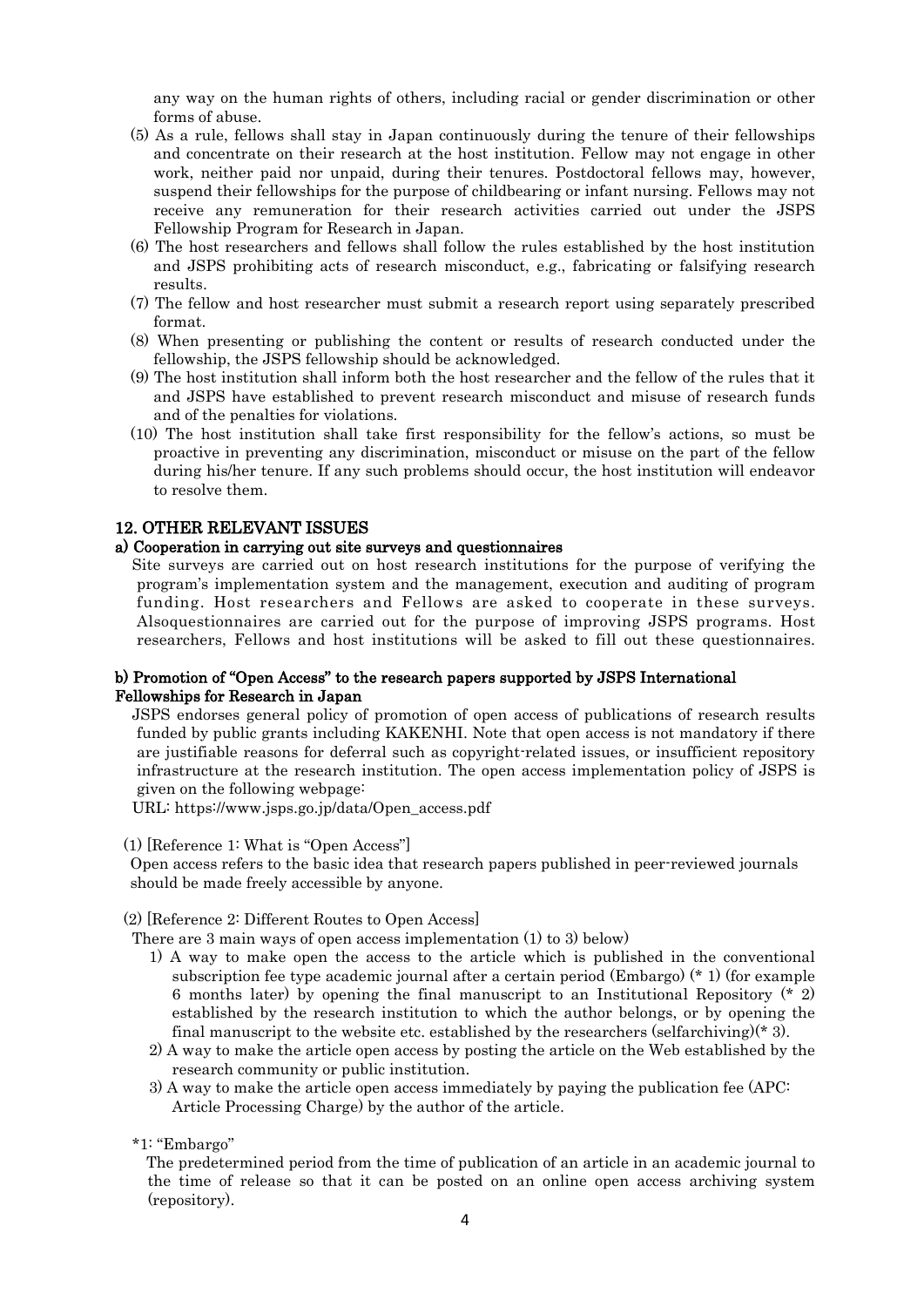any way on the human rights of others, including racial or gender discrimination or other forms of abuse.

- (5) As a rule, fellows shall stay in Japan continuously during the tenure of their fellowships and concentrate on their research at the host institution. Fellow may not engage in other work, neither paid nor unpaid, during their tenures. Postdoctoral fellows may, however, suspend their fellowships for the purpose of childbearing or infant nursing. Fellows may not receive any remuneration for their research activities carried out under the JSPS Fellowship Program for Research in Japan.
- (6) The host researchers and fellows shall follow the rules established by the host institution and JSPS prohibiting acts of research misconduct, e.g., fabricating or falsifying research results.
- (7) The fellow and host researcher must submit a research report using separately prescribed format.
- (8) When presenting or publishing the content or results of research conducted under the fellowship, the JSPS fellowship should be acknowledged.
- (9) The host institution shall inform both the host researcher and the fellow of the rules that it and JSPS have established to prevent research misconduct and misuse of research funds and of the penalties for violations.
- (10) The host institution shall take first responsibility for the fellow's actions, so must be proactive in preventing any discrimination, misconduct or misuse on the part of the fellow during his/her tenure. If any such problems should occur, the host institution will endeavor to resolve them.

### 12. OTHER RELEVANT ISSUES

#### a) Cooperation in carrying out site surveys and questionnaires

Site surveys are carried out on host research institutions for the purpose of verifying the program's implementation system and the management, execution and auditing of program funding. Host researchers and Fellows are asked to cooperate in these surveys. Alsoquestionnaires are carried out for the purpose of improving JSPS programs. Host researchers, Fellows and host institutions will be asked to fill out these questionnaires.

### b) Promotion of "Open Access" to the research papers supported by JSPS International Fellowships for Research in Japan

JSPS endorses general policy of promotion of open access of publications of research results funded by public grants including KAKENHI. Note that open access is not mandatory if there are justifiable reasons for deferral such as copyright-related issues, or insufficient repository infrastructure at the research institution. The open access implementation policy of JSPS is given on the following webpage:

URL: https://www.jsps.go.jp/data/Open\_access.pdf

(1) [Reference 1: What is "Open Access"]

Open access refers to the basic idea that research papers published in peer-reviewed journals should be made freely accessible by anyone.

#### (2) [Reference 2: Different Routes to Open Access]

There are 3 main ways of open access implementation (1) to 3) below)

- 1) A way to make open the access to the article which is published in the conventional subscription fee type academic journal after a certain period (Embargo) (\* 1) (for example 6 months later) by opening the final manuscript to an Institutional Repository (\* 2) established by the research institution to which the author belongs, or by opening the final manuscript to the website etc. established by the researchers (selfarchiving) $(*)$ .
- 2) A way to make the article open access by posting the article on the Web established by the research community or public institution.
- 3) A way to make the article open access immediately by paying the publication fee (APC: Article Processing Charge) by the author of the article.

\*1: "Embargo"

The predetermined period from the time of publication of an article in an academic journal to the time of release so that it can be posted on an online open access archiving system (repository).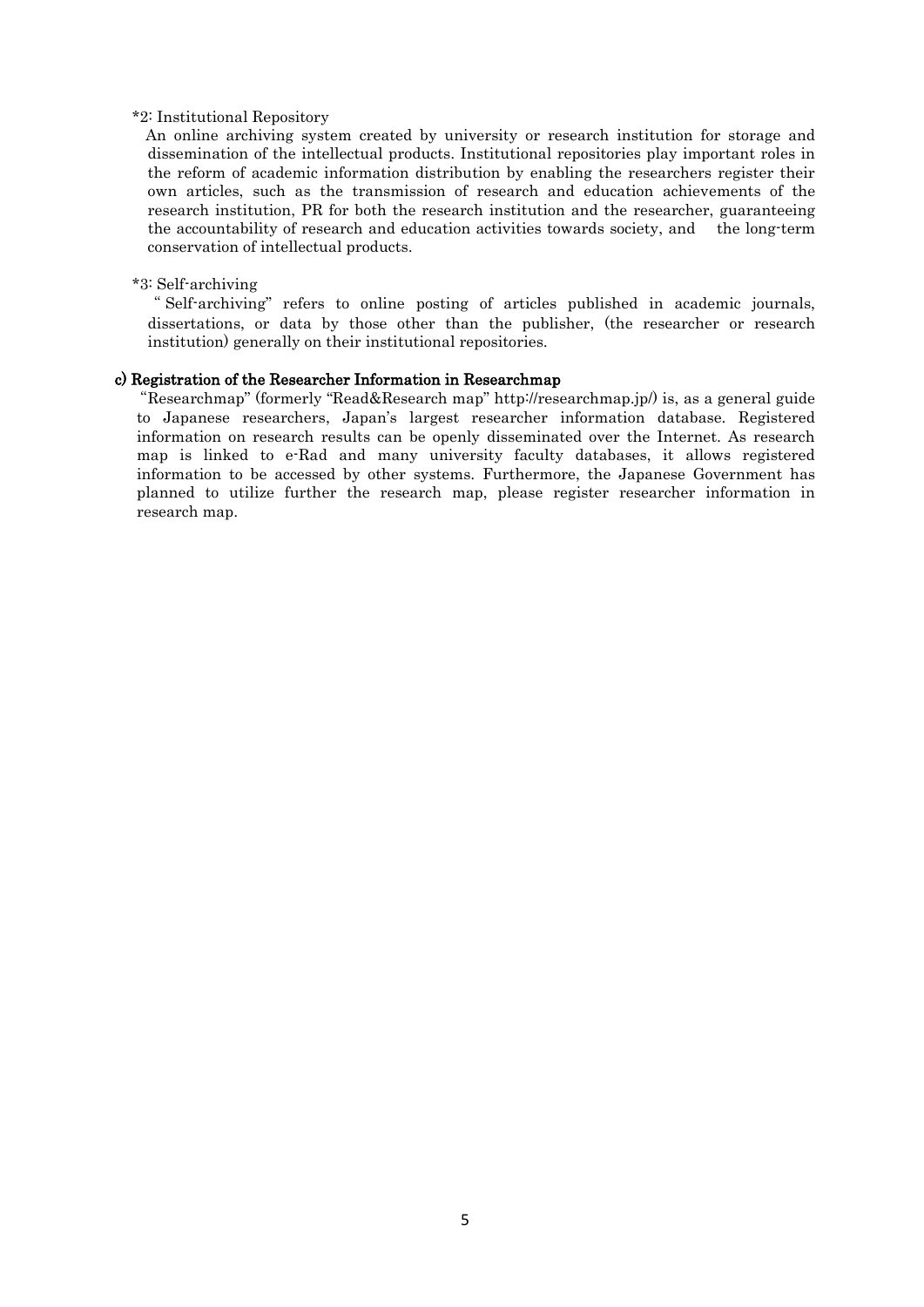#### \*2: Institutional Repository

An online archiving system created by university or research institution for storage and dissemination of the intellectual products. Institutional repositories play important roles in the reform of academic information distribution by enabling the researchers register their own articles, such as the transmission of research and education achievements of the research institution, PR for both the research institution and the researcher, guaranteeing the accountability of research and education activities towards society, and the long-term conservation of intellectual products.

### \*3: Self-archiving

" Self-archiving" refers to online posting of articles published in academic journals, dissertations, or data by those other than the publisher, (the researcher or research institution) generally on their institutional repositories.

#### c) Registration of the Researcher Information in Researchmap

"Researchmap" (formerly "Read&Research map" http://researchmap.jp/) is, as a general guide to Japanese researchers, Japan's largest researcher information database. Registered information on research results can be openly disseminated over the Internet. As research map is linked to e-Rad and many university faculty databases, it allows registered information to be accessed by other systems. Furthermore, the Japanese Government has planned to utilize further the research map, please register researcher information in research map.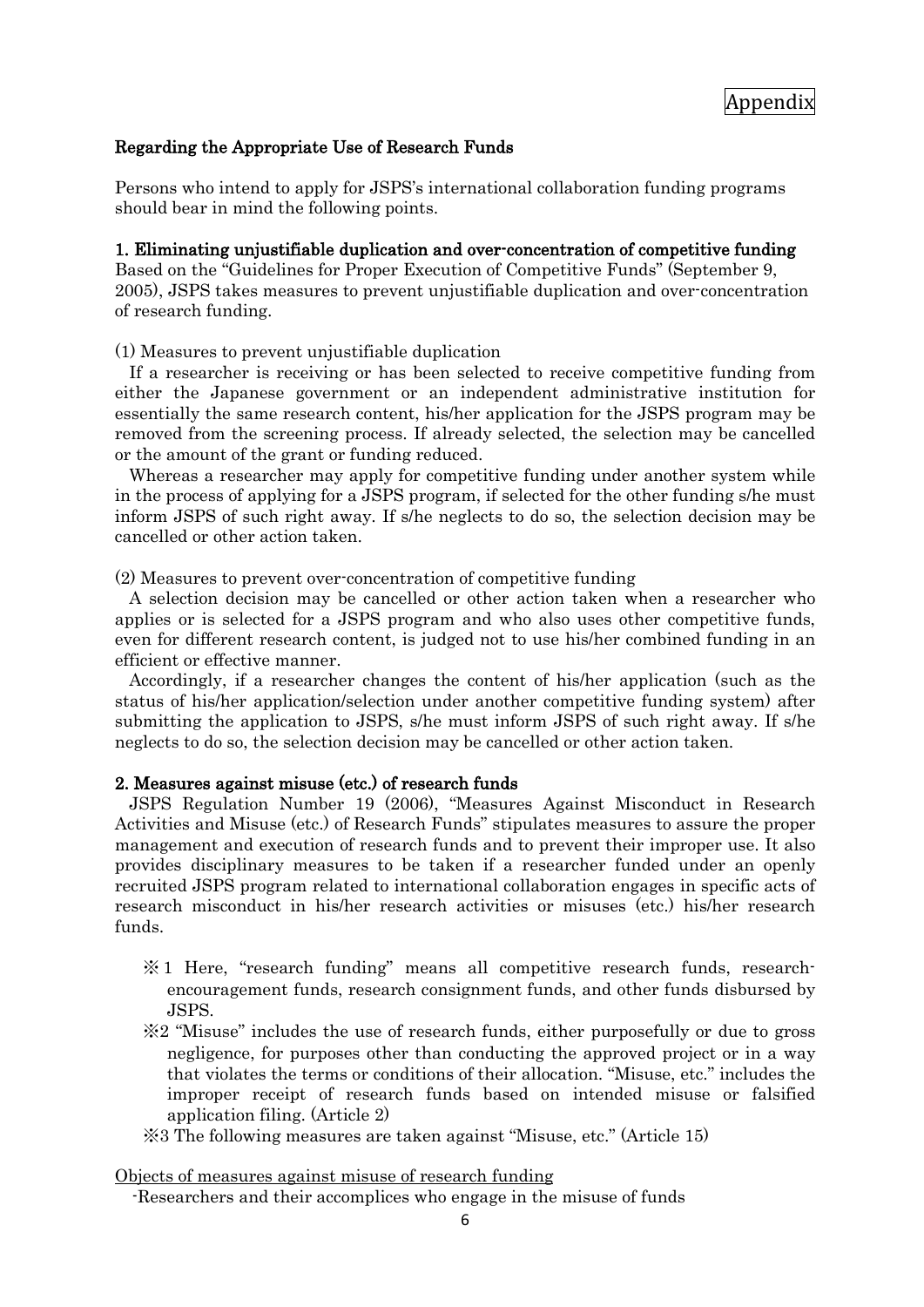# Regarding the Appropriate Use of Research Funds

Persons who intend to apply for JSPS's international collaboration funding programs should bear in mind the following points.

### 1. Eliminating unjustifiable duplication and over-concentration of competitive funding

Based on the "Guidelines for Proper Execution of Competitive Funds" (September 9, 2005), JSPS takes measures to prevent unjustifiable duplication and over-concentration of research funding.

(1) Measures to prevent unjustifiable duplication

 If a researcher is receiving or has been selected to receive competitive funding from either the Japanese government or an independent administrative institution for essentially the same research content, his/her application for the JSPS program may be removed from the screening process. If already selected, the selection may be cancelled or the amount of the grant or funding reduced.

 Whereas a researcher may apply for competitive funding under another system while in the process of applying for a JSPS program, if selected for the other funding s/he must inform JSPS of such right away. If s/he neglects to do so, the selection decision may be cancelled or other action taken.

(2) Measures to prevent over-concentration of competitive funding

 A selection decision may be cancelled or other action taken when a researcher who applies or is selected for a JSPS program and who also uses other competitive funds, even for different research content, is judged not to use his/her combined funding in an efficient or effective manner.

 Accordingly, if a researcher changes the content of his/her application (such as the status of his/her application/selection under another competitive funding system) after submitting the application to JSPS, s/he must inform JSPS of such right away. If s/he neglects to do so, the selection decision may be cancelled or other action taken.

### 2. Measures against misuse (etc.) of research funds

 JSPS Regulation Number 19 (2006), "Measures Against Misconduct in Research Activities and Misuse (etc.) of Research Funds" stipulates measures to assure the proper management and execution of research funds and to prevent their improper use. It also provides disciplinary measures to be taken if a researcher funded under an openly recruited JSPS program related to international collaboration engages in specific acts of research misconduct in his/her research activities or misuses (etc.) his/her research funds.

- ※ 1 Here, "research funding" means all competitive research funds, researchencouragement funds, research consignment funds, and other funds disbursed by JSPS.
- ※2 "Misuse" includes the use of research funds, either purposefully or due to gross negligence, for purposes other than conducting the approved project or in a way that violates the terms or conditions of their allocation. "Misuse, etc." includes the improper receipt of research funds based on intended misuse or falsified application filing. (Article 2)
- ※3 The following measures are taken against "Misuse, etc." (Article 15)

### Objects of measures against misuse of research funding

-Researchers and their accomplices who engage in the misuse of funds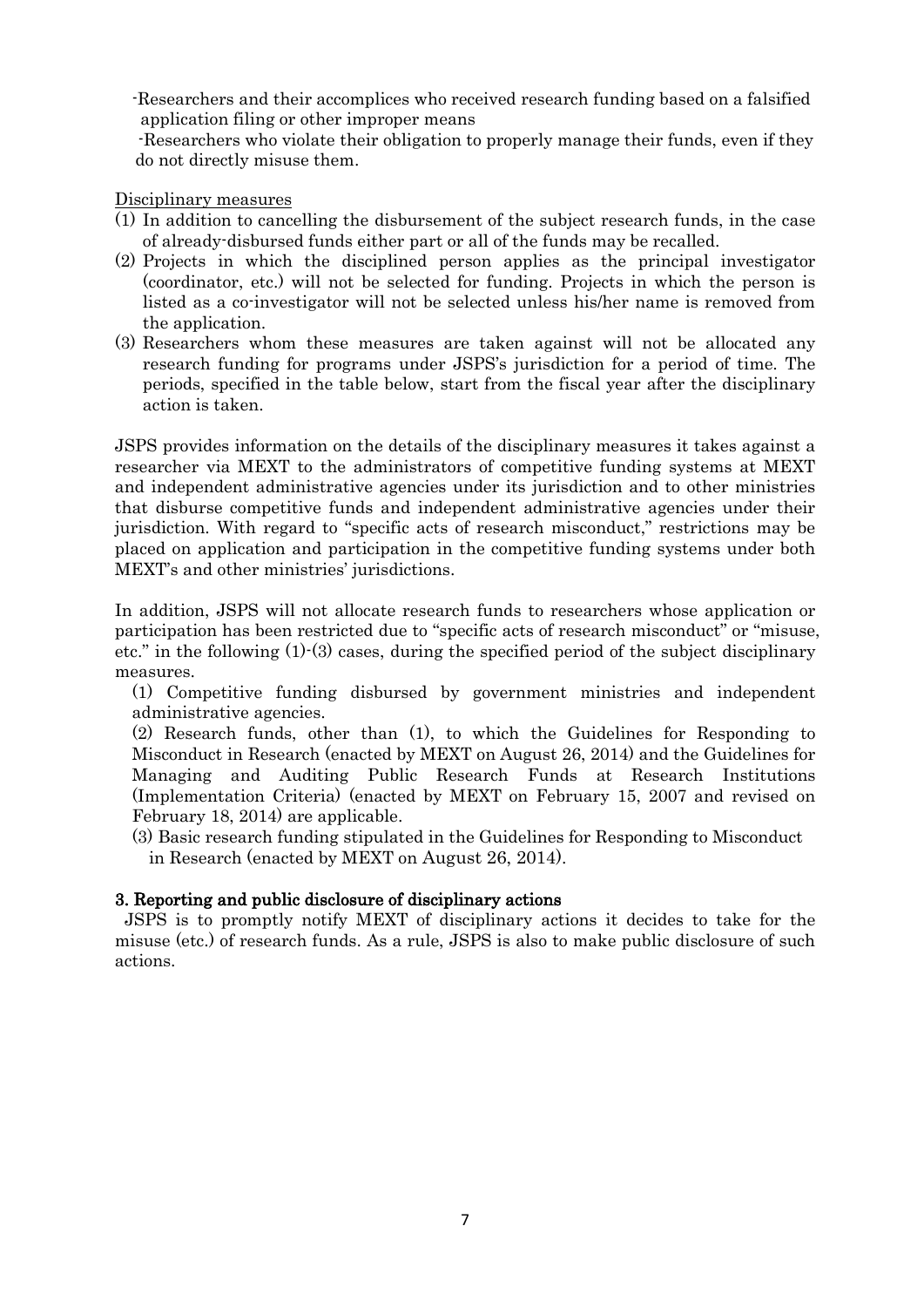-Researchers and their accomplices who received research funding based on a falsified application filing or other improper means

-Researchers who violate their obligation to properly manage their funds, even if they do not directly misuse them.

Disciplinary measures

- (1) In addition to cancelling the disbursement of the subject research funds, in the case of already-disbursed funds either part or all of the funds may be recalled.
- (2) Projects in which the disciplined person applies as the principal investigator (coordinator, etc.) will not be selected for funding. Projects in which the person is listed as a co-investigator will not be selected unless his/her name is removed from the application.
- (3) Researchers whom these measures are taken against will not be allocated any research funding for programs under JSPS's jurisdiction for a period of time. The periods, specified in the table below, start from the fiscal year after the disciplinary action is taken.

JSPS provides information on the details of the disciplinary measures it takes against a researcher via MEXT to the administrators of competitive funding systems at MEXT and independent administrative agencies under its jurisdiction and to other ministries that disburse competitive funds and independent administrative agencies under their jurisdiction. With regard to "specific acts of research misconduct," restrictions may be placed on application and participation in the competitive funding systems under both MEXT's and other ministries' jurisdictions.

In addition, JSPS will not allocate research funds to researchers whose application or participation has been restricted due to "specific acts of research misconduct" or "misuse, etc." in the following (1)-(3) cases, during the specified period of the subject disciplinary measures.

(1) Competitive funding disbursed by government ministries and independent administrative agencies.

(2) Research funds, other than (1), to which the Guidelines for Responding to Misconduct in Research (enacted by MEXT on August 26, 2014) and the Guidelines for Managing and Auditing Public Research Funds at Research Institutions (Implementation Criteria) (enacted by MEXT on February 15, 2007 and revised on February 18, 2014) are applicable.

(3) Basic research funding stipulated in the Guidelines for Responding to Misconduct in Research (enacted by MEXT on August 26, 2014).

# 3. Reporting and public disclosure of disciplinary actions

 JSPS is to promptly notify MEXT of disciplinary actions it decides to take for the misuse (etc.) of research funds. As a rule, JSPS is also to make public disclosure of such actions.